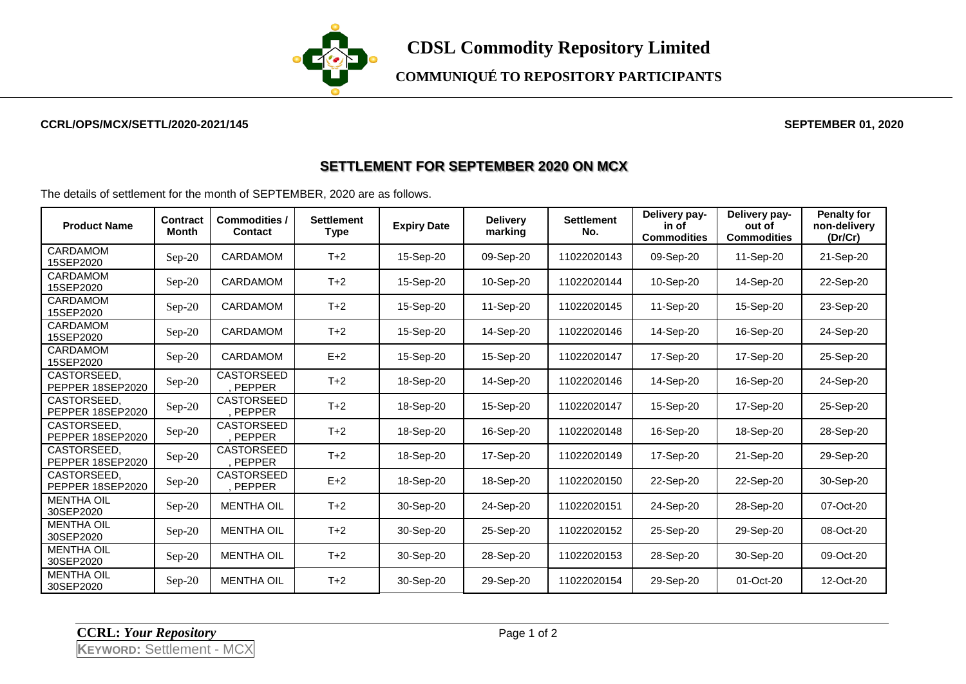

**COMMUNIQUÉ TO REPOSITORY PARTICIPANTS**

## **CCRL/OPS/MCX/SETTL/2020-2021/145 SEPTEMBER 01, 2020**

## **SETTLEMENT FOR SEPTEMBER 2020 ON MCX**

The details of settlement for the month of SEPTEMBER, 2020 are as follows.

| <b>Product Name</b>             | <b>Contract</b><br>Month | <b>Commodities /</b><br><b>Contact</b> | <b>Settlement</b><br>Type | <b>Expiry Date</b> | <b>Delivery</b><br>marking | <b>Settlement</b><br>No. | Delivery pay-<br>in of<br><b>Commodities</b> | Delivery pay-<br>out of<br><b>Commodities</b> | <b>Penalty for</b><br>non-delivery<br>(Dr/Cr) |
|---------------------------------|--------------------------|----------------------------------------|---------------------------|--------------------|----------------------------|--------------------------|----------------------------------------------|-----------------------------------------------|-----------------------------------------------|
| CARDAMOM<br>15SEP2020           | Sep-20                   | <b>CARDAMOM</b>                        | $T+2$                     | 15-Sep-20          | 09-Sep-20                  | 11022020143              | 09-Sep-20                                    | 11-Sep-20                                     | 21-Sep-20                                     |
| CARDAMOM<br>15SEP2020           | Sep-20                   | <b>CARDAMOM</b>                        | $T+2$                     | 15-Sep-20          | 10-Sep-20                  | 11022020144              | 10-Sep-20                                    | 14-Sep-20                                     | 22-Sep-20                                     |
| CARDAMOM<br>15SEP2020           | $Sep-20$                 | <b>CARDAMOM</b>                        | $T+2$                     | 15-Sep-20          | 11-Sep-20                  | 11022020145              | 11-Sep-20                                    | 15-Sep-20                                     | 23-Sep-20                                     |
| CARDAMOM<br>15SEP2020           | $Sep-20$                 | CARDAMOM                               | $T+2$                     | 15-Sep-20          | 14-Sep-20                  | 11022020146              | 14-Sep-20                                    | 16-Sep-20                                     | 24-Sep-20                                     |
| CARDAMOM<br>15SEP2020           | $Sep-20$                 | <b>CARDAMOM</b>                        | $E+2$                     | 15-Sep-20          | 15-Sep-20                  | 11022020147              | 17-Sep-20                                    | 17-Sep-20                                     | 25-Sep-20                                     |
| CASTORSEED.<br>PEPPER 18SEP2020 | Sep-20                   | CASTORSEED<br>PEPPER                   | $T+2$                     | 18-Sep-20          | 14-Sep-20                  | 11022020146              | 14-Sep-20                                    | 16-Sep-20                                     | 24-Sep-20                                     |
| CASTORSEED,<br>PEPPER 18SEP2020 | Sep-20                   | <b>CASTORSEED</b><br><b>PEPPER</b>     | $T+2$                     | 18-Sep-20          | 15-Sep-20                  | 11022020147              | 15-Sep-20                                    | 17-Sep-20                                     | 25-Sep-20                                     |
| CASTORSEED.<br>PEPPER 18SEP2020 | Sep-20                   | CASTORSEED<br>PEPPER                   | $T+2$                     | 18-Sep-20          | 16-Sep-20                  | 11022020148              | 16-Sep-20                                    | 18-Sep-20                                     | 28-Sep-20                                     |
| CASTORSEED.<br>PEPPER 18SEP2020 | $Sep-20$                 | <b>CASTORSEED</b><br>PEPPER            | $T+2$                     | 18-Sep-20          | 17-Sep-20                  | 11022020149              | 17-Sep-20                                    | 21-Sep-20                                     | 29-Sep-20                                     |
| CASTORSEED,<br>PEPPER 18SEP2020 | Sep-20                   | <b>CASTORSEED</b><br>PEPPER            | $E+2$                     | 18-Sep-20          | 18-Sep-20                  | 11022020150              | 22-Sep-20                                    | 22-Sep-20                                     | 30-Sep-20                                     |
| <b>MENTHA OIL</b><br>30SEP2020  | Sep-20                   | <b>MENTHA OIL</b>                      | $T+2$                     | 30-Sep-20          | 24-Sep-20                  | 11022020151              | 24-Sep-20                                    | 28-Sep-20                                     | 07-Oct-20                                     |
| <b>MENTHA OIL</b><br>30SEP2020  | $Sep-20$                 | <b>MENTHA OIL</b>                      | $T+2$                     | 30-Sep-20          | 25-Sep-20                  | 11022020152              | 25-Sep-20                                    | 29-Sep-20                                     | 08-Oct-20                                     |
| <b>MENTHA OIL</b><br>30SEP2020  | $Sep-20$                 | <b>MENTHA OIL</b>                      | $T+2$                     | 30-Sep-20          | 28-Sep-20                  | 11022020153              | 28-Sep-20                                    | 30-Sep-20                                     | 09-Oct-20                                     |
| <b>MENTHA OIL</b><br>30SEP2020  | $Sep-20$                 | <b>MENTHA OIL</b>                      | $T+2$                     | 30-Sep-20          | 29-Sep-20                  | 11022020154              | 29-Sep-20                                    | 01-Oct-20                                     | 12-Oct-20                                     |

**CCRL:** *Your Repository* Page 1 of 2